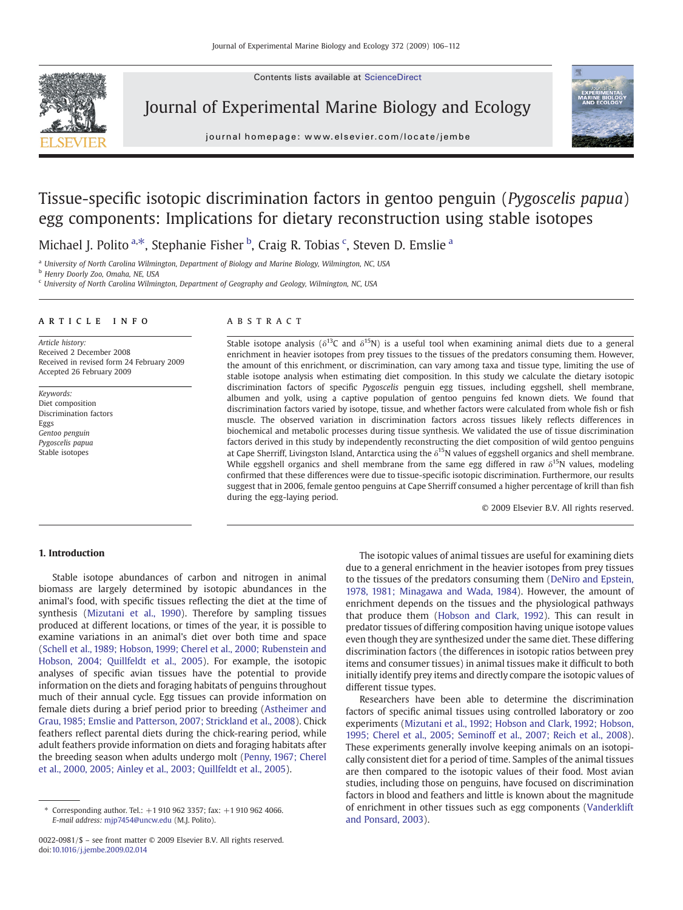Contents lists available at ScienceDirect



Journal of Experimental Marine Biology and Ecology

journal homepage: www.elsevier.com/locate/jembe



# Tissue-specific isotopic discrimination factors in gentoo penguin (Pygoscelis papua) egg components: Implications for dietary reconstruction using stable isotopes

Michael J. Polito <sup>a,\*</sup>, Stephanie Fisher <sup>b</sup>, Craig R. Tobias <sup>c</sup>, Steven D. Emslie <sup>a</sup>

<sup>a</sup> University of North Carolina Wilmington, Department of Biology and Marine Biology, Wilmington, NC, USA

<sup>b</sup> Henry Doorly Zoo, Omaha, NE, USA

<sup>c</sup> University of North Carolina Wilmington, Department of Geography and Geology, Wilmington, NC, USA

#### article info abstract

Article history: Received 2 December 2008 Received in revised form 24 February 2009 Accepted 26 February 2009

Keywords: Diet composition Discrimination factors Eggs Gentoo penguin Pygoscelis papua Stable isotopes

Stable isotope analysis ( $\delta^{13}C$  and  $\delta^{15}N$ ) is a useful tool when examining animal diets due to a general enrichment in heavier isotopes from prey tissues to the tissues of the predators consuming them. However, the amount of this enrichment, or discrimination, can vary among taxa and tissue type, limiting the use of stable isotope analysis when estimating diet composition. In this study we calculate the dietary isotopic discrimination factors of specific Pygoscelis penguin egg tissues, including eggshell, shell membrane, albumen and yolk, using a captive population of gentoo penguins fed known diets. We found that discrimination factors varied by isotope, tissue, and whether factors were calculated from whole fish or fish muscle. The observed variation in discrimination factors across tissues likely reflects differences in biochemical and metabolic processes during tissue synthesis. We validated the use of tissue discrimination factors derived in this study by independently reconstructing the diet composition of wild gentoo penguins at Cape Sherriff, Livingston Island, Antarctica using the δ15N values of eggshell organics and shell membrane. While eggshell organics and shell membrane from the same egg differed in raw  $\delta^{15}N$  values, modeling confirmed that these differences were due to tissue-specific isotopic discrimination. Furthermore, our results suggest that in 2006, female gentoo penguins at Cape Sherriff consumed a higher percentage of krill than fish during the egg-laying period.

© 2009 Elsevier B.V. All rights reserved.

# 1. Introduction

Stable isotope abundances of carbon and nitrogen in animal biomass are largely determined by isotopic abundances in the animal's food, with specific tissues reflecting the diet at the time of synthesis [\(Mizutani et al., 1990\)](#page-6-0). Therefore by sampling tissues produced at different locations, or times of the year, it is possible to examine variations in an animal's diet over both time and space [\(Schell et al., 1989; Hobson, 1999; Cherel et al., 2000; Rubenstein and](#page-6-0) [Hobson, 2004; Quillfeldt et al., 2005\)](#page-6-0). For example, the isotopic analyses of specific avian tissues have the potential to provide information on the diets and foraging habitats of penguins throughout much of their annual cycle. Egg tissues can provide information on female diets during a brief period prior to breeding ([Astheimer and](#page-5-0) [Grau, 1985; Emslie and Patterson, 2007; Strickland et al., 2008\)](#page-5-0). Chick feathers reflect parental diets during the chick-rearing period, while adult feathers provide information on diets and foraging habitats after the breeding season when adults undergo molt ([Penny, 1967; Cherel](#page-6-0) [et al., 2000, 2005; Ainley et al., 2003; Quillfeldt et al., 2005](#page-6-0)).

The isotopic values of animal tissues are useful for examining diets due to a general enrichment in the heavier isotopes from prey tissues to the tissues of the predators consuming them [\(DeNiro and Epstein,](#page-5-0) [1978, 1981; Minagawa and Wada, 1984\)](#page-5-0). However, the amount of enrichment depends on the tissues and the physiological pathways that produce them [\(Hobson and Clark, 1992](#page-5-0)). This can result in predator tissues of differing composition having unique isotope values even though they are synthesized under the same diet. These differing discrimination factors (the differences in isotopic ratios between prey items and consumer tissues) in animal tissues make it difficult to both initially identify prey items and directly compare the isotopic values of different tissue types.

Researchers have been able to determine the discrimination factors of specific animal tissues using controlled laboratory or zoo experiments [\(Mizutani et al., 1992; Hobson and Clark, 1992; Hobson,](#page-6-0) [1995; Cherel et al., 2005; Seminoff et al., 2007; Reich et al., 2008](#page-6-0)). These experiments generally involve keeping animals on an isotopically consistent diet for a period of time. Samples of the animal tissues are then compared to the isotopic values of their food. Most avian studies, including those on penguins, have focused on discrimination factors in blood and feathers and little is known about the magnitude of enrichment in other tissues such as egg components [\(Vanderklift](#page-6-0) [and Ponsard, 2003](#page-6-0)).

<sup>⁎</sup> Corresponding author. Tel.: +1 910 962 3357; fax: +1 910 962 4066. E-mail address: [mjp7454@uncw.edu](mailto:mjp7454@uncw.edu) (M.J. Polito).

<sup>0022-0981/\$</sup> – see front matter © 2009 Elsevier B.V. All rights reserved. doi[:10.1016/j.jembe.2009.02.014](http://dx.doi.org/10.1016/j.jembe.2009.02.014)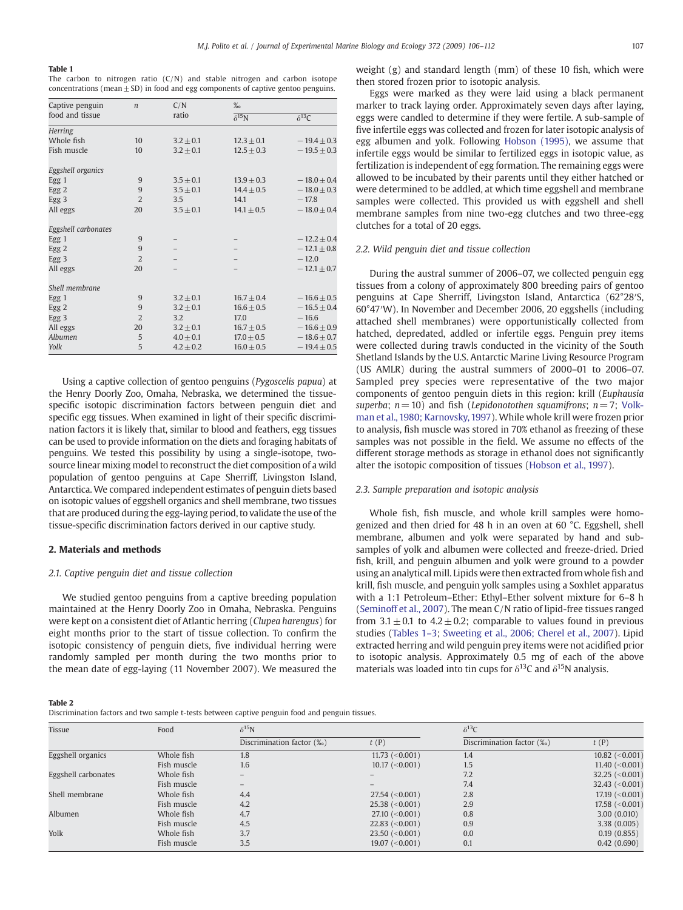# <span id="page-1-0"></span>Table 1

|  | The carbon to nitrogen ratio $(C/N)$ and stable nitrogen and carbon isotope           |  |  |  |  |
|--|---------------------------------------------------------------------------------------|--|--|--|--|
|  | concentrations (mean $\pm$ SD) in food and egg components of captive gentoo penguins. |  |  |  |  |

| Captive penguin     | $\boldsymbol{n}$ | C/N           | $\%$            |                 |  |  |
|---------------------|------------------|---------------|-----------------|-----------------|--|--|
| food and tissue     |                  | ratio         | $\delta^{15}$ N | $\delta^{13}C$  |  |  |
| <b>Herring</b>      |                  |               |                 |                 |  |  |
| Whole fish          | 10               | $3.2 + 0.1$   | $12.3 + 0.1$    | $-19.4 + 0.3$   |  |  |
| Fish muscle         | 10               | $3.2 \pm 0.1$ | $12.5 \pm 0.3$  | $-19.5 \pm 0.3$ |  |  |
| Eggshell organics   |                  |               |                 |                 |  |  |
| Egg 1               | 9                | $3.5 + 0.1$   | $13.9 + 0.3$    | $-18.0 + 0.4$   |  |  |
| Egg 2               | 9                | $3.5 + 0.1$   | $14.4 + 0.5$    | $-18.0 + 0.3$   |  |  |
| Egg3                | $\overline{2}$   | 3.5           | 14.1            | $-17.8$         |  |  |
| All eggs            | 20               | $3.5 + 0.1$   | $14.1 + 0.5$    | $-18.0 \pm 0.4$ |  |  |
| Eggshell carbonates |                  |               |                 |                 |  |  |
| Egg 1               | 9                |               |                 | $-12.2 + 0.4$   |  |  |
| Egg 2               | 9                |               |                 | $-12.1 \pm 0.8$ |  |  |
| Egg <sub>3</sub>    | $\overline{2}$   |               |                 | $-12.0$         |  |  |
| All eggs            | 20               |               |                 | $-12.1 + 0.7$   |  |  |
| Shell membrane      |                  |               |                 |                 |  |  |
| Egg 1               | 9                | $3.2 + 0.1$   | $16.7 + 0.4$    | $-16.6 \pm 0.5$ |  |  |
| Egg 2               | 9                | $3.2 + 0.1$   | $16.6 \pm 0.5$  | $-16.5 \pm 0.4$ |  |  |
| Egg <sub>3</sub>    | $\overline{2}$   | 3.2           | 17.0            | $-16.6$         |  |  |
| All eggs            | 20               | $3.2 + 0.1$   | $16.7 + 0.5$    | $-16.6 \pm 0.9$ |  |  |
| Albumen             | 5                | $4.0 + 0.1$   | $17.0 + 0.5$    | $-18.6 \pm 0.7$ |  |  |
| Yolk                | 5                | $4.2 \pm 0.2$ | $16.0 \pm 0.5$  | $-19.4 \pm 0.5$ |  |  |

Using a captive collection of gentoo penguins (Pygoscelis papua) at the Henry Doorly Zoo, Omaha, Nebraska, we determined the tissuespecific isotopic discrimination factors between penguin diet and specific egg tissues. When examined in light of their specific discrimination factors it is likely that, similar to blood and feathers, egg tissues can be used to provide information on the diets and foraging habitats of penguins. We tested this possibility by using a single-isotope, twosource linear mixing model to reconstruct the diet composition of a wild population of gentoo penguins at Cape Sherriff, Livingston Island, Antarctica. We compared independent estimates of penguin diets based on isotopic values of eggshell organics and shell membrane, two tissues that are produced during the egg-laying period, to validate the use of the tissue-specific discrimination factors derived in our captive study.

#### 2. Materials and methods

# 2.1. Captive penguin diet and tissue collection

We studied gentoo penguins from a captive breeding population maintained at the Henry Doorly Zoo in Omaha, Nebraska. Penguins were kept on a consistent diet of Atlantic herring (Clupea harengus) for eight months prior to the start of tissue collection. To confirm the isotopic consistency of penguin diets, five individual herring were randomly sampled per month during the two months prior to the mean date of egg-laying (11 November 2007). We measured the weight (g) and standard length (mm) of these 10 fish, which were then stored frozen prior to isotopic analysis.

Eggs were marked as they were laid using a black permanent marker to track laying order. Approximately seven days after laying, eggs were candled to determine if they were fertile. A sub-sample of five infertile eggs was collected and frozen for later isotopic analysis of egg albumen and yolk. Following [Hobson \(1995\)](#page-5-0), we assume that infertile eggs would be similar to fertilized eggs in isotopic value, as fertilization is independent of egg formation. The remaining eggs were allowed to be incubated by their parents until they either hatched or were determined to be addled, at which time eggshell and membrane samples were collected. This provided us with eggshell and shell membrane samples from nine two-egg clutches and two three-egg clutches for a total of 20 eggs.

#### 2.2. Wild penguin diet and tissue collection

During the austral summer of 2006–07, we collected penguin egg tissues from a colony of approximately 800 breeding pairs of gentoo penguins at Cape Sherriff, Livingston Island, Antarctica (62°28′S, 60°47′W). In November and December 2006, 20 eggshells (including attached shell membranes) were opportunistically collected from hatched, depredated, addled or infertile eggs. Penguin prey items were collected during trawls conducted in the vicinity of the South Shetland Islands by the U.S. Antarctic Marine Living Resource Program (US AMLR) during the austral summers of 2000–01 to 2006–07. Sampled prey species were representative of the two major components of gentoo penguin diets in this region: krill (Euphausia superba;  $n = 10$ ) and fish (Lepidonotothen squamifrons;  $n = 7$ ; [Volk](#page-6-0)[man et al., 1980; Karnovsky, 1997](#page-6-0)). While whole krill were frozen prior to analysis, fish muscle was stored in 70% ethanol as freezing of these samples was not possible in the field. We assume no effects of the different storage methods as storage in ethanol does not significantly alter the isotopic composition of tissues ([Hobson et al., 1997](#page-5-0)).

# 2.3. Sample preparation and isotopic analysis

Whole fish, fish muscle, and whole krill samples were homogenized and then dried for 48 h in an oven at 60 °C. Eggshell, shell membrane, albumen and yolk were separated by hand and subsamples of yolk and albumen were collected and freeze-dried. Dried fish, krill, and penguin albumen and yolk were ground to a powder using an analytical mill. Lipids were then extracted fromwhole fish and krill, fish muscle, and penguin yolk samples using a Soxhlet apparatus with a 1:1 Petroleum–Ether: Ethyl–Ether solvent mixture for 6–8 h [\(Seminoff et al., 2007\)](#page-6-0). The mean C/N ratio of lipid-free tissues ranged from  $3.1 \pm 0.1$  to  $4.2 \pm 0.2$ ; comparable to values found in previous studies (Tables 1–3; [Sweeting et al., 2006; Cherel et al., 2007\)](#page-6-0). Lipid extracted herring and wild penguin prey items were not acidified prior to isotopic analysis. Approximately 0.5 mg of each of the above materials was loaded into tin cups for  $\delta^{13}$ C and  $\delta^{15}$ N analysis.

|--|--|

Discrimination factors and two sample t-tests between captive penguin food and penguin tissues.

| Tissue              | Food        | $\delta^{15}$ N           |                       | $\delta^{13}C$            |                    |  |
|---------------------|-------------|---------------------------|-----------------------|---------------------------|--------------------|--|
|                     |             | Discrimination factor (%) | t(P)                  | Discrimination factor (%) | t(P)               |  |
| Eggshell organics   | Whole fish  | 1.8                       | 11.73 $(< 0.001$ )    | 1.4                       | 10.82 $(<0.001$ )  |  |
|                     | Fish muscle | 1.6                       | $10.17~(< 0.001$ )    | 1.5                       | 11.40 $(< 0.001)$  |  |
| Eggshell carbonates | Whole fish  | $\overline{\phantom{m}}$  |                       | 7.2                       | 32.25 $(<0.001$ )  |  |
|                     | Fish muscle |                           |                       | 7.4                       | 32.43 $(< 0.001)$  |  |
| Shell membrane      | Whole fish  | 4.4                       | $27.54~(<0.001$ )     | 2.8                       | 17.19~(< 0.001)    |  |
|                     | Fish muscle | 4.2                       | $25.38 \ (-0.001)$    | 2.9                       | 17.58 (< $0.001$ ) |  |
| Albumen             | Whole fish  | 4.7                       | $27.10~(<0.001$ )     | 0.8                       | 3.00(0.010)        |  |
|                     | Fish muscle | 4.5                       | $22.83$ (<0.001)      | 0.9                       | 3.38 (0.005)       |  |
| Yolk                | Whole fish  | 3.7                       | $23.50 \; (<0.001$ )  | 0.0                       | 0.19(0.855)        |  |
|                     | Fish muscle | 3.5                       | $19.07 \; (< 0.001$ ) | 0.1                       | 0.42(0.690)        |  |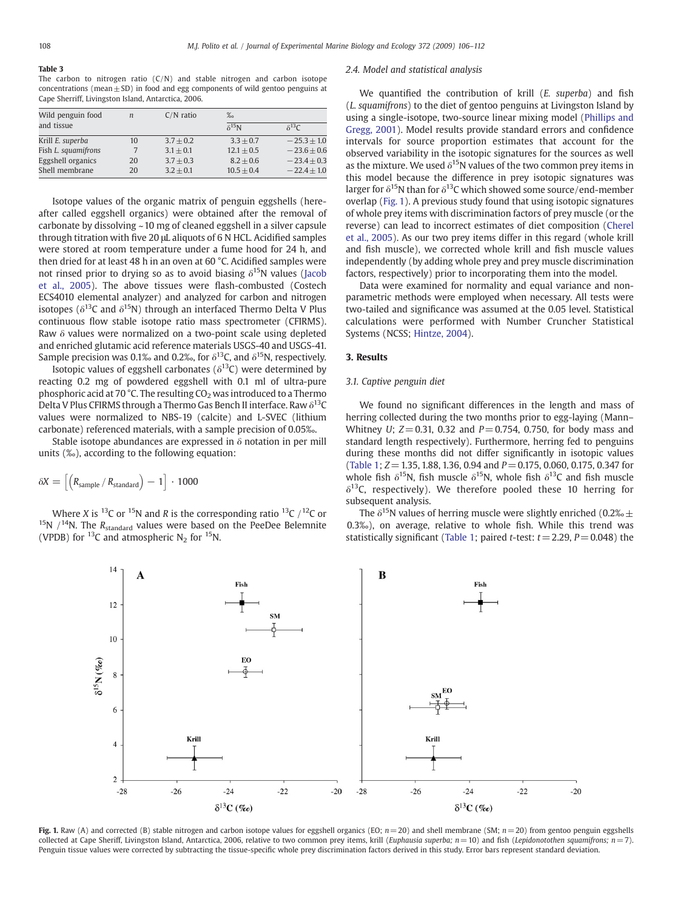#### <span id="page-2-0"></span>Table 3

The carbon to nitrogen ratio  $(C/N)$  and stable nitrogen and carbon isotope concentrations (mean $\pm$  SD) in food and egg components of wild gentoo penguins at Cape Sherriff, Livingston Island, Antarctica, 2006.

| Wild penguin food   | $\boldsymbol{n}$ | $C/N$ ratio | $\%$            |                 |
|---------------------|------------------|-------------|-----------------|-----------------|
| and tissue          |                  |             | $\delta^{15}$ N | $\delta^{13}C$  |
| Krill E. superba    | 10               | $3.7 + 0.2$ | $3.3 + 0.7$     | $-25.3 + 1.0$   |
| Fish L. squamifrons |                  | $3.1 + 0.1$ | $12.1 + 0.5$    | $-23.6 + 0.6$   |
| Eggshell organics   | 20               | $3.7 + 0.3$ | $8.2 + 0.6$     | $-23.4 + 0.3$   |
| Shell membrane      | 20               | $3.2 + 0.1$ | $10.5 + 0.4$    | $-22.4 \pm 1.0$ |

Isotope values of the organic matrix of penguin eggshells (hereafter called eggshell organics) were obtained after the removal of carbonate by dissolving ~10 mg of cleaned eggshell in a silver capsule through titration with five 20 μL aliquots of 6 N HCL. Acidified samples were stored at room temperature under a fume hood for 24 h, and then dried for at least 48 h in an oven at 60 °C. Acidified samples were not rinsed prior to drying so as to avoid biasing  $\delta^{15}N$  values ([Jacob](#page-5-0) [et al., 2005](#page-5-0)). The above tissues were flash-combusted (Costech ECS4010 elemental analyzer) and analyzed for carbon and nitrogen isotopes ( $\delta^{13}$ C and  $\delta^{15}$ N) through an interfaced Thermo Delta V Plus continuous flow stable isotope ratio mass spectrometer (CFIRMS). Raw δ values were normalized on a two-point scale using depleted and enriched glutamic acid reference materials USGS-40 and USGS-41. Sample precision was 0.1‰ and 0.2‰, for  $\delta^{13}$ C, and  $\delta^{15}$ N, respectively.

Isotopic values of eggshell carbonates ( $\delta^{13}C$ ) were determined by reacting 0.2 mg of powdered eggshell with 0.1 ml of ultra-pure phosphoric acid at 70 °C. The resulting  $CO<sub>2</sub>$  was introduced to a Thermo Delta V Plus CFIRMS through a Thermo Gas Bench II interface. Raw  $\delta^{13}C$ values were normalized to NBS-19 (calcite) and L-SVEC (lithium carbonate) referenced materials, with a sample precision of 0.05‰.

Stable isotope abundances are expressed in  $\delta$  notation in per mill units (‰), according to the following equation:

$$
\delta X = \left[\left(R_{sample} \, / \, R_{standard}\right) - 1\right] \cdot 1000
$$

Where X is <sup>13</sup>C or <sup>15</sup>N and R is the corresponding ratio <sup>13</sup>C /<sup>12</sup>C or <sup>15</sup>N  $/$ <sup>14</sup>N. The R<sub>standard</sub> values were based on the PeeDee Belemnite (VPDB) for <sup>13</sup>C and atmospheric N<sub>2</sub> for <sup>15</sup>N.

#### 2.4. Model and statistical analysis

We quantified the contribution of krill (E. superba) and fish (L. squamifrons) to the diet of gentoo penguins at Livingston Island by using a single-isotope, two-source linear mixing model ([Phillips and](#page-6-0) [Gregg, 2001](#page-6-0)). Model results provide standard errors and confidence intervals for source proportion estimates that account for the observed variability in the isotopic signatures for the sources as well as the mixture. We used  $\delta^{15}N$  values of the two common prey items in this model because the difference in prey isotopic signatures was larger for  $\delta^{15}$ N than for  $\delta^{13}$ C which showed some source/end-member overlap (Fig. 1). A previous study found that using isotopic signatures of whole prey items with discrimination factors of prey muscle (or the reverse) can lead to incorrect estimates of diet composition ([Cherel](#page-5-0) [et al., 2005\)](#page-5-0). As our two prey items differ in this regard (whole krill and fish muscle), we corrected whole krill and fish muscle values independently (by adding whole prey and prey muscle discrimination factors, respectively) prior to incorporating them into the model.

Data were examined for normality and equal variance and nonparametric methods were employed when necessary. All tests were two-tailed and significance was assumed at the 0.05 level. Statistical calculations were performed with Number Cruncher Statistical Systems (NCSS; [Hintze, 2004\)](#page-5-0).

# 3. Results

# 3.1. Captive penguin diet

We found no significant differences in the length and mass of herring collected during the two months prior to egg-laying (Mann– Whitney U;  $Z = 0.31$ , 0.32 and  $P = 0.754$ , 0.750, for body mass and standard length respectively). Furthermore, herring fed to penguins during these months did not differ significantly in isotopic values [\(Table 1;](#page-1-0)  $Z = 1.35$ , 1.88, 1.36, 0.94 and  $P = 0.175$ , 0.060, 0.175, 0.347 for whole fish  $\delta^{15}N$ , fish muscle  $\delta^{15}N$ , whole fish  $\delta^{13}C$  and fish muscle  $\delta^{13}$ C, respectively). We therefore pooled these 10 herring for subsequent analysis.

The  $\delta^{15}$ N values of herring muscle were slightly enriched (0.2‰  $\pm$ 0.3‰), on average, relative to whole fish. While this trend was statistically significant [\(Table 1](#page-1-0); paired *t*-test:  $t = 2.29$ ,  $P = 0.048$ ) the



Fig. 1. Raw (A) and corrected (B) stable nitrogen and carbon isotope values for eggshell organics (EO;  $n=20$ ) and shell membrane (SM;  $n=20$ ) from gentoo penguin eggshells collected at Cape Sheriff, Livingston Island, Antarctica, 2006, relative to two common prey items, krill (Euphausia superba;  $n = 10$ ) and fish (Lepidonotothen squamifrons;  $n = 7$ ). Penguin tissue values were corrected by subtracting the tissue-specific whole prey discrimination factors derived in this study. Error bars represent standard deviation.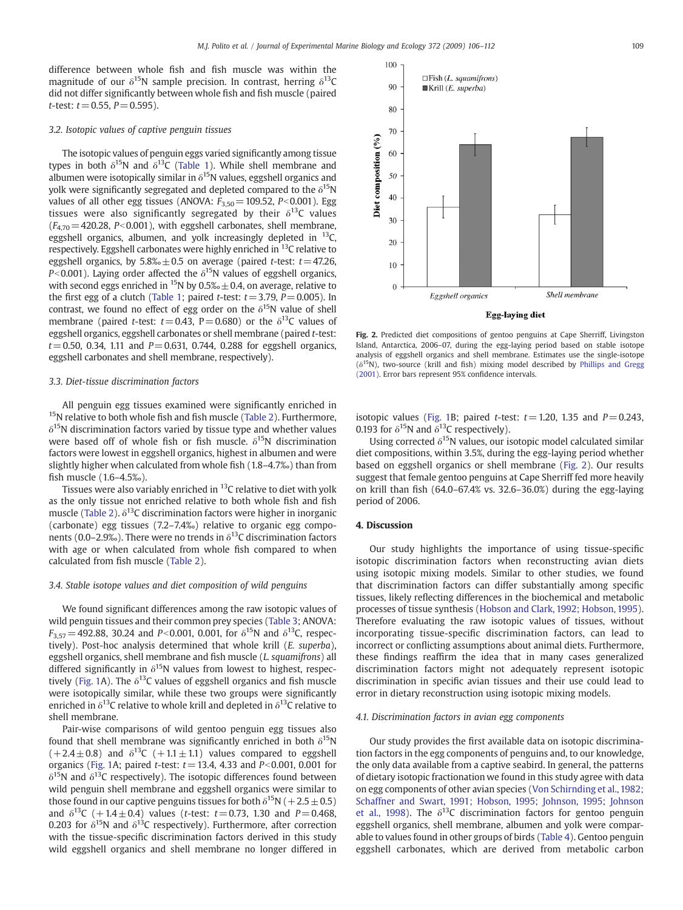difference between whole fish and fish muscle was within the magnitude of our  $\delta^{15}N$  sample precision. In contrast, herring  $\delta^{13}C$ did not differ significantly between whole fish and fish muscle (paired t-test:  $t = 0.55$ ,  $P = 0.595$ ).

### 3.2. Isotopic values of captive penguin tissues

The isotopic values of penguin eggs varied significantly among tissue types in both  $\delta^{15}N$  and  $\delta^{13}C$  ([Table 1\)](#page-1-0). While shell membrane and albumen were isotopically similar in  $\delta^{15}$ N values, eggshell organics and yolk were significantly segregated and depleted compared to the  $\delta^{15}N$ values of all other egg tissues (ANOVA:  $F_{3,50}$  = 109.52, P<0.001). Egg tissues were also significantly segregated by their  $\delta^{13}C$  values  $(F_{4,70} = 420.28, P<0.001)$ , with eggshell carbonates, shell membrane, eggshell organics, albumen, and yolk increasingly depleted in <sup>13</sup>C, respectively. Eggshell carbonates were highly enriched in <sup>13</sup>C relative to eggshell organics, by  $5.8\% \pm 0.5$  on average (paired t-test:  $t=47.26$ , P<0.001). Laying order affected the  $\delta^{15}N$  values of eggshell organics, with second eggs enriched in <sup>15</sup>N by 0.5‰  $\pm$  0.4, on average, relative to the first egg of a clutch ([Table 1;](#page-1-0) paired *t*-test:  $t=3.79$ ,  $P=0.005$ ). In contrast, we found no effect of egg order on the  $\delta^{15}N$  value of shell membrane (paired t-test:  $t=0.43$ , P = 0.680) or the  $\delta^{13}$ C values of eggshell organics, eggshell carbonates or shell membrane (paired t-test:  $t=0.50$ , 0.34, 1.11 and  $P=0.631$ , 0.744, 0.288 for eggshell organics, eggshell carbonates and shell membrane, respectively).

### 3.3. Diet-tissue discrimination factors

All penguin egg tissues examined were significantly enriched in <sup>15</sup>N relative to both whole fish and fish muscle [\(Table 2\)](#page-1-0). Furthermore,  $\delta^{15}$ N discrimination factors varied by tissue type and whether values were based off of whole fish or fish muscle.  $\delta^{15}N$  discrimination factors were lowest in eggshell organics, highest in albumen and were slightly higher when calculated from whole fish (1.8–4.7‰) than from fish muscle (1.6–4.5‰).

Tissues were also variably enriched in  $^{13}$ C relative to diet with yolk as the only tissue not enriched relative to both whole fish and fish muscle ([Table 2](#page-1-0)).  $\delta^{13}$ C discrimination factors were higher in inorganic (carbonate) egg tissues (7.2–7.4‰) relative to organic egg components (0.0–2.9‰). There were no trends in  $\delta^{13}$ C discrimination factors with age or when calculated from whole fish compared to when calculated from fish muscle ([Table 2\)](#page-1-0).

# 3.4. Stable isotope values and diet composition of wild penguins

We found significant differences among the raw isotopic values of wild penguin tissues and their common prey species [\(Table 3;](#page-2-0) ANOVA:  $F_{3,57}$  = 492.88, 30.24 and P<0.001, 0.001, for  $\delta^{15}N$  and  $\delta^{13}C$ , respectively). Post-hoc analysis determined that whole krill (E. superba), eggshell organics, shell membrane and fish muscle (L. squamifrons) all differed significantly in  $\delta^{15}N$  values from lowest to highest, respec-tively ([Fig. 1A](#page-2-0)). The  $\delta^{13}$ C values of eggshell organics and fish muscle were isotopically similar, while these two groups were significantly enriched in  $\delta^{13}$ C relative to whole krill and depleted in  $\delta^{13}$ C relative to shell membrane.

Pair-wise comparisons of wild gentoo penguin egg tissues also found that shell membrane was significantly enriched in both  $\delta^{15}N$  $(+2.4 \pm 0.8)$  and  $\delta^{13}C (+1.1 \pm 1.1)$  values compared to eggshell organics [\(Fig. 1](#page-2-0)A; paired *t*-test:  $t = 13.4$ , 4.33 and  $P < 0.001$ , 0.001 for  $\delta^{15}$ N and  $\delta^{13}$ C respectively). The isotopic differences found between wild penguin shell membrane and eggshell organics were similar to those found in our captive penguins tissues for both  $\delta^{15}N$  (+2.5  $\pm$  0.5) and  $\delta^{13}C$  (+1.4 ± 0.4) values (t-test: t = 0.73, 1.30 and P = 0.468, 0.203 for  $\delta^{15}N$  and  $\delta^{13}C$  respectively). Furthermore, after correction with the tissue-specific discrimination factors derived in this study wild eggshell organics and shell membrane no longer differed in



Fig. 2. Predicted diet compositions of gentoo penguins at Cape Sherriff, Livingston Island, Antarctica, 2006–07, during the egg-laying period based on stable isotope analysis of eggshell organics and shell membrane. Estimates use the single-isotope  $(\delta^{15}N)$ , two-source (krill and fish) mixing model described by [Phillips and Gregg](#page-6-0) [\(2001\).](#page-6-0) Error bars represent 95% confidence intervals.

isotopic values ([Fig. 1](#page-2-0)B; paired *t*-test:  $t = 1.20$ , 1.35 and  $P = 0.243$ , 0.193 for  $\delta^{15}N$  and  $\delta^{13}C$  respectively).

Using corrected  $\delta^{15}N$  values, our isotopic model calculated similar diet compositions, within 3.5%, during the egg-laying period whether based on eggshell organics or shell membrane (Fig. 2). Our results suggest that female gentoo penguins at Cape Sherriff fed more heavily on krill than fish (64.0–67.4% vs. 32.6–36.0%) during the egg-laying period of 2006.

#### 4. Discussion

Our study highlights the importance of using tissue-specific isotopic discrimination factors when reconstructing avian diets using isotopic mixing models. Similar to other studies, we found that discrimination factors can differ substantially among specific tissues, likely reflecting differences in the biochemical and metabolic processes of tissue synthesis [\(Hobson and Clark, 1992; Hobson, 1995](#page-5-0)). Therefore evaluating the raw isotopic values of tissues, without incorporating tissue-specific discrimination factors, can lead to incorrect or conflicting assumptions about animal diets. Furthermore, these findings reaffirm the idea that in many cases generalized discrimination factors might not adequately represent isotopic discrimination in specific avian tissues and their use could lead to error in dietary reconstruction using isotopic mixing models.

#### 4.1. Discrimination factors in avian egg components

Our study provides the first available data on isotopic discrimination factors in the egg components of penguins and, to our knowledge, the only data available from a captive seabird. In general, the patterns of dietary isotopic fractionation we found in this study agree with data on egg components of other avian species [\(Von Schirnding et al., 1982;](#page-6-0) [Schaffner and Swart, 1991; Hobson, 1995; Johnson, 1995; Johnson](#page-6-0) [et al., 1998\)](#page-6-0). The  $\delta^{13}$ C discrimination factors for gentoo penguin eggshell organics, shell membrane, albumen and yolk were comparable to values found in other groups of birds ([Table 4\)](#page-4-0). Gentoo penguin eggshell carbonates, which are derived from metabolic carbon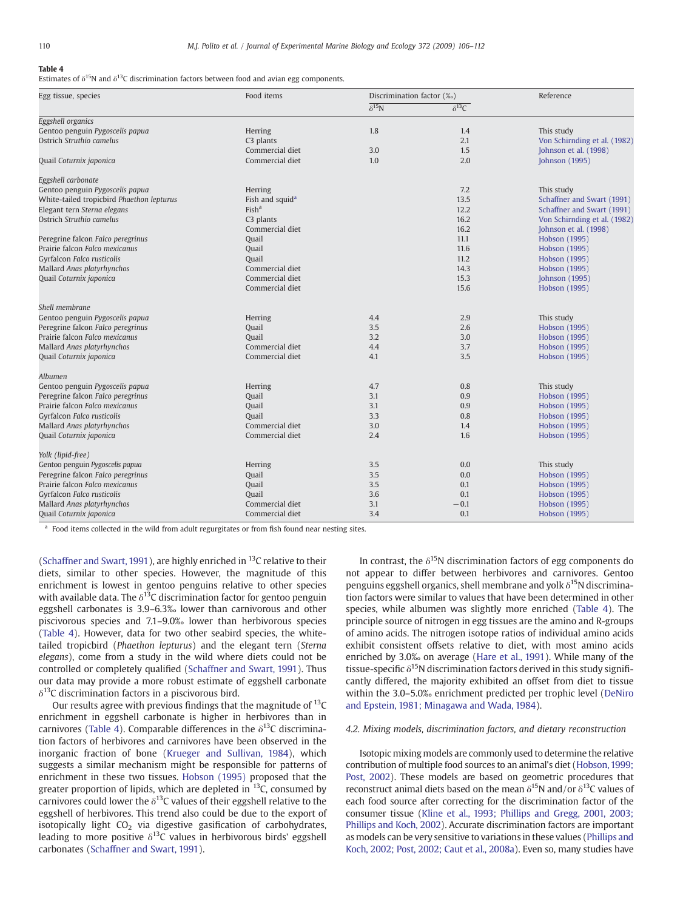#### <span id="page-4-0"></span>Table 4

Estimates of  $\delta^{15}N$  and  $\delta^{13}C$  discrimination factors between food and avian egg components.

| Egg tissue, species                       | Food items                  | Discrimination factor (%) |                 | Reference                    |  |
|-------------------------------------------|-----------------------------|---------------------------|-----------------|------------------------------|--|
|                                           |                             | $\delta^{15}$ N           | $\delta^{13}$ C |                              |  |
| Eggshell organics                         |                             |                           |                 |                              |  |
| Gentoo penguin Pygoscelis papua           | Herring                     | 1.8                       | 1.4             | This study                   |  |
| Ostrich Struthio camelus                  | C3 plants                   |                           | 2.1             | Von Schirnding et al. (1982) |  |
|                                           | Commercial diet             | 3.0                       | 1.5             | Johnson et al. (1998)        |  |
| Quail Coturnix japonica                   | Commercial diet             | 1.0                       | 2.0             | Johnson (1995)               |  |
| Eggshell carbonate                        |                             |                           |                 |                              |  |
| Gentoo penguin Pygoscelis papua           | Herring                     |                           | 7.2             | This study                   |  |
| White-tailed tropicbird Phaethon lepturus | Fish and squid <sup>a</sup> |                           | 13.5            | Schaffner and Swart (1991)   |  |
| Elegant tern Sterna elegans               | Fish <sup>a</sup>           |                           | 12.2            | Schaffner and Swart (1991)   |  |
| Ostrich Struthio camelus                  | C3 plants                   |                           | 16.2            | Von Schirnding et al. (1982) |  |
|                                           | Commercial diet             |                           | 16.2            | Johnson et al. (1998)        |  |
| Peregrine falcon Falco peregrinus         | Quail                       |                           | 11.1            | Hobson (1995)                |  |
| Prairie falcon Falco mexicanus            | Quail                       |                           | 11.6            | Hobson (1995)                |  |
| Gyrfalcon Falco rusticolis                | Quail                       |                           | 11.2            | Hobson (1995)                |  |
| Mallard Anas platyrhynchos                | Commercial diet             |                           | 14.3            | Hobson (1995)                |  |
| Quail Coturnix japonica                   | Commercial diet             |                           | 15.3            | Johnson (1995)               |  |
|                                           | Commercial diet             |                           | 15.6            | Hobson (1995)                |  |
| Shell membrane                            |                             |                           |                 |                              |  |
| Gentoo penguin Pygoscelis papua           | Herring                     | 4.4                       | 2.9             | This study                   |  |
| Peregrine falcon Falco peregrinus         | Quail                       | 3.5                       | 2.6             | Hobson (1995)                |  |
| Prairie falcon Falco mexicanus            | Quail                       | 3.2                       | 3.0             | Hobson (1995)                |  |
| Mallard Anas platyrhynchos                | Commercial diet             | 4.4                       | 3.7             | Hobson (1995)                |  |
| Quail Coturnix japonica                   | Commercial diet             | 4.1                       | 3.5             | Hobson (1995)                |  |
| Albumen                                   |                             |                           |                 |                              |  |
| Gentoo penguin Pygoscelis papua           | Herring                     | 4.7                       | 0.8             | This study                   |  |
| Peregrine falcon Falco peregrinus         | Quail                       | 3.1                       | 0.9             | Hobson (1995)                |  |
| Prairie falcon Falco mexicanus            | Quail                       | 3.1                       | 0.9             | Hobson (1995)                |  |
| Gyrfalcon Falco rusticolis                | <b>Quail</b>                | 3.3                       | 0.8             | Hobson (1995)                |  |
| Mallard Anas platyrhynchos                | Commercial diet             | 3.0                       | 1.4             | Hobson (1995)                |  |
| Quail Coturnix japonica                   | Commercial diet             | 2.4                       | 1.6             | Hobson (1995)                |  |
| Yolk (lipid-free)                         |                             |                           |                 |                              |  |
| Gentoo penguin Pygoscelis papua           | Herring                     | 3.5                       | 0.0             | This study                   |  |
| Peregrine falcon Falco peregrinus         | Quail                       | 3.5                       | 0.0             | Hobson (1995)                |  |
| Prairie falcon Falco mexicanus            | Quail                       | 3.5                       | 0.1             | Hobson (1995)                |  |
| Gyrfalcon Falco rusticolis                | Ouail                       | 3.6                       | 0.1             | Hobson (1995)                |  |
| Mallard Anas platyrhynchos                | Commercial diet             | 3.1                       | $-0.1$          | Hobson (1995)                |  |
| Quail Coturnix japonica                   | Commercial diet             | 3.4                       | 0.1             | Hobson (1995)                |  |

<sup>a</sup> Food items collected in the wild from adult regurgitates or from fish found near nesting sites.

[\(Schaffner and Swart, 1991\)](#page-6-0), are highly enriched in  $^{13}$ C relative to their diets, similar to other species. However, the magnitude of this enrichment is lowest in gentoo penguins relative to other species with available data. The  $\delta^{13}$ C discrimination factor for gentoo penguin eggshell carbonates is 3.9–6.3‰ lower than carnivorous and other piscivorous species and 7.1–9.0‰ lower than herbivorous species (Table 4). However, data for two other seabird species, the whitetailed tropicbird (Phaethon lepturus) and the elegant tern (Sterna elegans), come from a study in the wild where diets could not be controlled or completely qualified [\(Schaffner and Swart, 1991](#page-6-0)). Thus our data may provide a more robust estimate of eggshell carbonate  $\delta^{13}$ C discrimination factors in a piscivorous bird.

Our results agree with previous findings that the magnitude of  $^{13}C$ enrichment in eggshell carbonate is higher in herbivores than in carnivores (Table 4). Comparable differences in the  $\delta^{13}$ C discrimination factors of herbivores and carnivores have been observed in the inorganic fraction of bone ([Krueger and Sullivan, 1984\)](#page-6-0), which suggests a similar mechanism might be responsible for patterns of enrichment in these two tissues. [Hobson \(1995\)](#page-5-0) proposed that the greater proportion of lipids, which are depleted in  $^{13}$ C, consumed by carnivores could lower the  $\delta^{13}$ C values of their eggshell relative to the eggshell of herbivores. This trend also could be due to the export of isotopically light  $CO<sub>2</sub>$  via digestive gasification of carbohydrates, leading to more positive  $\delta^{13}$ C values in herbivorous birds' eggshell carbonates [\(Schaffner and Swart, 1991](#page-6-0)).

In contrast, the  $\delta^{15}N$  discrimination factors of egg components do not appear to differ between herbivores and carnivores. Gentoo penguins eggshell organics, shell membrane and yolk  $\delta^{15}N$  discrimination factors were similar to values that have been determined in other species, while albumen was slightly more enriched (Table 4). The principle source of nitrogen in egg tissues are the amino and R-groups of amino acids. The nitrogen isotope ratios of individual amino acids exhibit consistent offsets relative to diet, with most amino acids enriched by 3.0‰ on average ([Hare et al., 1991](#page-5-0)). While many of the tissue-specific  $\delta^{15}$ N discrimination factors derived in this study significantly differed, the majority exhibited an offset from diet to tissue within the 3.0–5.0‰ enrichment predicted per trophic level [\(DeNiro](#page-5-0) [and Epstein, 1981; Minagawa and Wada, 1984](#page-5-0)).

# 4.2. Mixing models, discrimination factors, and dietary reconstruction

Isotopic mixing models are commonly used to determine the relative contribution of multiple food sources to an animal's diet ([Hobson, 1999;](#page-5-0) [Post, 2002](#page-5-0)). These models are based on geometric procedures that reconstruct animal diets based on the mean  $\delta^{15}$ N and/or  $\delta^{13}$ C values of each food source after correcting for the discrimination factor of the consumer tissue [\(Kline et al., 1993; Phillips and Gregg, 2001, 2003;](#page-5-0) [Phillips and Koch,](#page-5-0) 2002). Accurate discrimination factors are important as models can be very sensitive to variations in these values ([Phillips and](#page-6-0) [Koch, 2002; Post, 2002; Caut et al., 2008a\)](#page-6-0). Even so, many studies have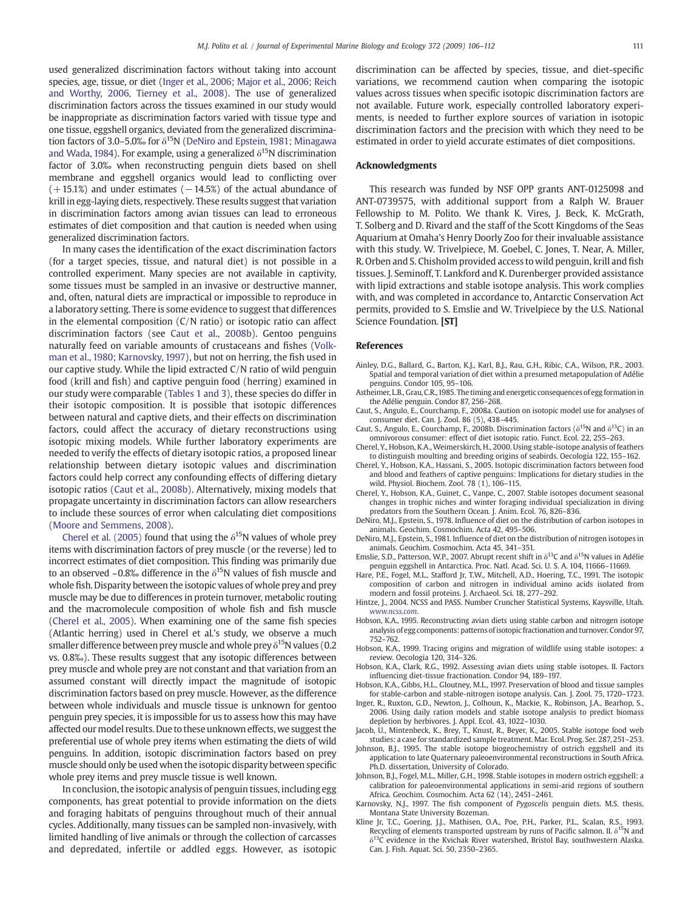<span id="page-5-0"></span>used generalized discrimination factors without taking into account species, age, tissue, or diet (Inger et al., 2006; Major et al., 2006; Reich and Worthy, 2006, Tierney et al., 2008). The use of generalized discrimination factors across the tissues examined in our study would be inappropriate as discrimination factors varied with tissue type and one tissue, eggshell organics, deviated from the generalized discrimination factors of 3.0–5.0‰ for  $\delta^{15}N$  (DeNiro and Epstein, 1981; Minagawa and Wada, 1984). For example, using a generalized  $\delta^{15}$ N discrimination factor of 3.0‰ when reconstructing penguin diets based on shell membrane and eggshell organics would lead to conflicting over  $(+15.1%)$  and under estimates  $(-14.5%)$  of the actual abundance of krill in egg-laying diets, respectively. These results suggest that variation in discrimination factors among avian tissues can lead to erroneous estimates of diet composition and that caution is needed when using generalized discrimination factors.

In many cases the identification of the exact discrimination factors (for a target species, tissue, and natural diet) is not possible in a controlled experiment. Many species are not available in captivity, some tissues must be sampled in an invasive or destructive manner, and, often, natural diets are impractical or impossible to reproduce in a laboratory setting. There is some evidence to suggest that differences in the elemental composition (C/N ratio) or isotopic ratio can affect discrimination factors (see Caut et al., 2008b). Gentoo penguins naturally feed on variable amounts of crustaceans and fishes [\(Volk](#page-6-0)[man et al., 1980; Karnovsky, 1997\)](#page-6-0), but not on herring, the fish used in our captive study. While the lipid extracted C/N ratio of wild penguin food (krill and fish) and captive penguin food (herring) examined in our study were comparable ([Tables 1 and 3\)](#page-1-0), these species do differ in their isotopic composition. It is possible that isotopic differences between natural and captive diets, and their effects on discrimination factors, could affect the accuracy of dietary reconstructions using isotopic mixing models. While further laboratory experiments are needed to verify the effects of dietary isotopic ratios, a proposed linear relationship between dietary isotopic values and discrimination factors could help correct any confounding effects of differing dietary isotopic ratios (Caut et al., 2008b). Alternatively, mixing models that propagate uncertainty in discrimination factors can allow researchers to include these sources of error when calculating diet compositions [\(Moore and Semmens, 2008\)](#page-6-0).

Cherel et al. (2005) found that using the  $\delta^{15}N$  values of whole prey items with discrimination factors of prey muscle (or the reverse) led to incorrect estimates of diet composition. This finding was primarily due to an observed ~0.8% difference in the  $\delta^{15}$ N values of fish muscle and whole fish. Disparity between the isotopic values of whole prey and prey muscle may be due to differences in protein turnover, metabolic routing and the macromolecule composition of whole fish and fish muscle (Cherel et al., 2005). When examining one of the same fish species (Atlantic herring) used in Cherel et al.'s study, we observe a much smaller difference between prey muscle and whole prey  $\delta^{15}$ N values (0.2) vs. 0.8‰). These results suggest that any isotopic differences between prey muscle and whole prey are not constant and that variation from an assumed constant will directly impact the magnitude of isotopic discrimination factors based on prey muscle. However, as the difference between whole individuals and muscle tissue is unknown for gentoo penguin prey species, it is impossible for us to assess how this may have affected our model results. Due to these unknown effects, we suggest the preferential use of whole prey items when estimating the diets of wild penguins. In addition, isotopic discrimination factors based on prey muscle should only be used when the isotopic disparity between specific whole prey items and prey muscle tissue is well known.

In conclusion, the isotopic analysis of penguin tissues, including egg components, has great potential to provide information on the diets and foraging habitats of penguins throughout much of their annual cycles. Additionally, many tissues can be sampled non-invasively, with limited handling of live animals or through the collection of carcasses and depredated, infertile or addled eggs. However, as isotopic discrimination can be affected by species, tissue, and diet-specific variations, we recommend caution when comparing the isotopic values across tissues when specific isotopic discrimination factors are not available. Future work, especially controlled laboratory experiments, is needed to further explore sources of variation in isotopic discrimination factors and the precision with which they need to be estimated in order to yield accurate estimates of diet compositions.

#### Acknowledgments

This research was funded by NSF OPP grants ANT-0125098 and ANT-0739575, with additional support from a Ralph W. Brauer Fellowship to M. Polito. We thank K. Vires, J. Beck, K. McGrath, T. Solberg and D. Rivard and the staff of the Scott Kingdoms of the Seas Aquarium at Omaha's Henry Doorly Zoo for their invaluable assistance with this study. W. Trivelpiece, M. Goebel, C. Jones, T. Near, A. Miller, R. Orben and S. Chisholm provided access to wild penguin, krill and fish tissues. J. Seminoff, T. Lankford and K. Durenberger provided assistance with lipid extractions and stable isotope analysis. This work complies with, and was completed in accordance to, Antarctic Conservation Act permits, provided to S. Emslie and W. Trivelpiece by the U.S. National Science Foundation. [ST]

#### References

- Ainley, D.G., Ballard, G., Barton, K.J., Karl, B.J., Rau, G.H., Ribic, C.A., Wilson, P.R., 2003. Spatial and temporal variation of diet within a presumed metapopulation of Adélie penguins. Condor 105, 95–106.
- Astheimer, L.B., Grau, C.R.,1985. The timing and energetic consequences of egg formation in the Adélie penguin. Condor 87, 256–268.
- Caut, S., Angulo, E., Courchamp, F., 2008a. Caution on isotopic model use for analyses of consumer diet. Can. J. Zool. 86 (5), 438–445.
- Caut, S., Angulo, E., Courchamp, F., 2008b. Discrimination factors ( $\delta^{15}N$  and  $\delta^{13}C$ ) in an omnivorous consumer: effect of diet isotopic ratio. Funct. Ecol. 22, 255–263.
- Cherel, Y., Hobson, K.A.,Weimerskirch, H., 2000. Using stable-isotope analysis of feathers to distinguish moulting and breeding origins of seabirds. Oecologia 122, 155–162.
- Cherel, Y., Hobson, K.A., Hassani, S., 2005. Isotopic discrimination factors between food and blood and feathers of captive penguins: Implications for dietary studies in the wild. Physiol. Biochem. Zool. 78 (1), 106–115.
- Cherel, Y., Hobson, K.A., Guinet, C., Vanpe, C., 2007. Stable isotopes document seasonal changes in trophic niches and winter foraging individual specialization in diving predators from the Southern Ocean. J. Anim. Ecol. 76, 826–836.
- DeNiro, M.J., Epstein, S., 1978. Influence of diet on the distribution of carbon isotopes in animals. Geochim. Cosmochim. Acta 42, 495–506.
- DeNiro, M.J., Epstein, S., 1981. Influence of diet on the distribution of nitrogen isotopes in animals. Geochim. Cosmochim. Acta 45, 341–351.
- Emslie, S.D., Patterson, W.P., 2007. Abrupt recent shift in  $\delta^{13}$ C and  $\delta^{15}$ N values in Adélie penguin eggshell in Antarctica. Proc. Natl. Acad. Sci. U. S. A. 104, 11666–11669.
- Hare, P.E., Fogel, M.L., Stafford Jr, T.W., Mitchell, A.D., Hoering, T.C., 1991. The isotopic composition of carbon and nitrogen in individual amino acids isolated from modern and fossil proteins. J. Archaeol. Sci. 18, 277–292.
- Hintze, J., 2004. NCSS and PASS. Number Cruncher Statistical Systems, Kaysville, Utah. [www.ncss.com](http://www.ncss.com).
- Hobson, K.A., 1995. Reconstructing avian diets using stable carbon and nitrogen isotope analysis of egg components: patterns of isotopic fractionation and turnover. Condor 97, 752–762.
- Hobson, K.A., 1999. Tracing origins and migration of wildlife using stable isotopes: a review. Oecologia 120, 314–326.
- Hobson, K.A., Clark, R.G., 1992. Assessing avian diets using stable isotopes. II. Factors influencing diet-tissue fractionation. Condor 94, 189–197.
- Hobson, K.A., Gibbs, H.L., Gloutney, M.L., 1997. Preservation of blood and tissue samples for stable-carbon and stable-nitrogen isotope analysis. Can. J. Zool. 75, 1720–1723.
- Inger, R., Ruxton, G.D., Newton, J., Colhoun, K., Mackie, K., Robinson, J.A., Bearhop, S., 2006. Using daily ration models and stable isotope analysis to predict biomass depletion by herbivores. J. Appl. Ecol. 43, 1022–1030.
- Jacob, U., Mintenbeck, K., Brey, T., Knust, R., Beyer, K., 2005. Stable isotope food web studies: a case for standardized sample treatment. Mar. Ecol. Prog. Ser. 287, 251–253.
- Johnson, B.J., 1995. The stable isotope biogeochemistry of ostrich eggshell and its application to late Quaternary paleoenvironmental reconstructions in South Africa. Ph.D. dissertation, University of Colorado.
- Johnson, B.J., Fogel, M.L., Miller, G.H., 1998. Stable isotopes in modern ostrich eggshell: a calibration for paleoenvironmental applications in semi-arid regions of southern Africa. Geochim. Cosmochim. Acta 62 (14), 2451–2461.
- Karnovsky, N.J., 1997. The fish component of Pygoscelis penguin diets. M.S. thesis, Montana State University Bozeman.
- Kline Jr, T.C., Goering, J.J., Mathisen, O.A., Poe, P.H., Parker, P.L., Scalan, R.S., 1993. Recycling of elements transported upstream by runs of Pacific salmon. II.  $\delta^{15}N$  and  $\delta^{13}$ C evidence in the Kvichak River watershed, Bristol Bay, southwestern Alaska. Can. J. Fish. Aquat. Sci. 50, 2350–2365.